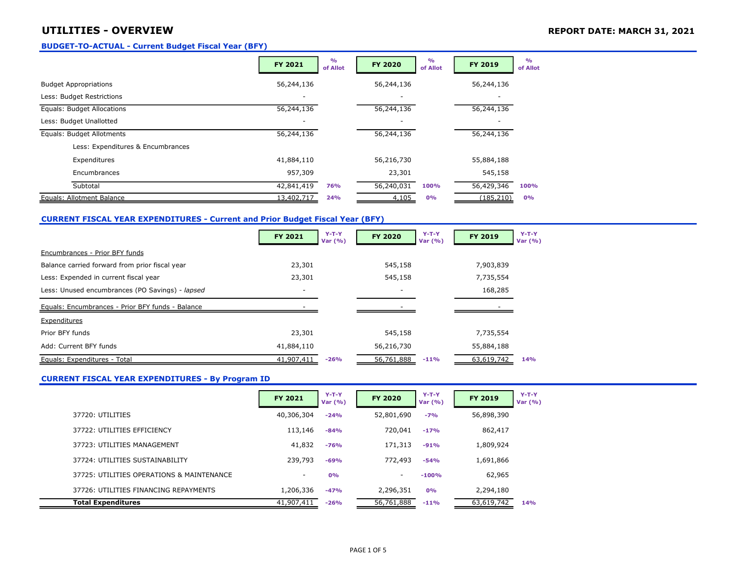## UTILITIES - OVERVIEW **REPORT DATE: MARCH 31, 2021**

#### BUDGET-TO-ACTUAL - Current Budget Fiscal Year (BFY)

|                                   | <b>FY 2021</b> | O <sub>0</sub><br>of Allot | <b>FY 2020</b> | $\frac{O}{O}$<br>of Allot | <b>FY 2019</b> | O <sub>0</sub><br>of Allot |
|-----------------------------------|----------------|----------------------------|----------------|---------------------------|----------------|----------------------------|
| <b>Budget Appropriations</b>      | 56,244,136     |                            | 56,244,136     |                           | 56,244,136     |                            |
| Less: Budget Restrictions         |                |                            |                |                           |                |                            |
| Equals: Budget Allocations        | 56,244,136     |                            | 56,244,136     |                           | 56,244,136     |                            |
| Less: Budget Unallotted           |                |                            |                |                           |                |                            |
| Equals: Budget Allotments         | 56,244,136     |                            | 56,244,136     |                           | 56,244,136     |                            |
| Less: Expenditures & Encumbrances |                |                            |                |                           |                |                            |
| Expenditures                      | 41,884,110     |                            | 56,216,730     |                           | 55,884,188     |                            |
| Encumbrances                      | 957,309        |                            | 23,301         |                           | 545,158        |                            |
| Subtotal                          | 42,841,419     | <b>76%</b>                 | 56,240,031     | 100%                      | 56,429,346     | 100%                       |
| Equals: Allotment Balance         | 13,402,717     | 24%                        | 4,105          | 0%                        | (185, 210)     | 0%                         |

## CURRENT FISCAL YEAR EXPENDITURES - Current and Prior Budget Fiscal Year (BFY)

|                                                  | FY 2021                  | $Y-T-Y$<br>Var $(% )$ | <b>FY 2020</b> | $Y-T-Y$<br>Var $(% )$ | FY 2019    | $Y-T-Y$<br>Var $(% )$ |
|--------------------------------------------------|--------------------------|-----------------------|----------------|-----------------------|------------|-----------------------|
| Encumbrances - Prior BFY funds                   |                          |                       |                |                       |            |                       |
| Balance carried forward from prior fiscal year   | 23,301                   |                       | 545,158        |                       | 7,903,839  |                       |
| Less: Expended in current fiscal year            | 23,301                   |                       | 545,158        |                       | 7,735,554  |                       |
| Less: Unused encumbrances (PO Savings) - lapsed  | $\overline{\phantom{a}}$ |                       |                |                       | 168,285    |                       |
| Equals: Encumbrances - Prior BFY funds - Balance |                          |                       |                |                       |            |                       |
| Expenditures                                     |                          |                       |                |                       |            |                       |
| Prior BFY funds                                  | 23,301                   |                       | 545,158        |                       | 7,735,554  |                       |
| Add: Current BFY funds                           | 41,884,110               |                       | 56,216,730     |                       | 55,884,188 |                       |
| Equals: Expenditures - Total                     | 41,907,411               | $-26%$                | 56,761,888     | $-11%$                | 63,619,742 | 14%                   |

## CURRENT FISCAL YEAR EXPENDITURES - By Program ID

|                                           | <b>FY 2021</b>           | $Y-T-Y$<br>Var $(% )$ | <b>FY 2020</b> | $Y-T-Y$<br>Var $(% )$ | <b>FY 2019</b> | $Y-T-Y$<br>Var $(% )$ |
|-------------------------------------------|--------------------------|-----------------------|----------------|-----------------------|----------------|-----------------------|
| 37720: UTILITIES                          | 40,306,304               | $-24%$                | 52,801,690     | $-7%$                 | 56,898,390     |                       |
| 37722: UTILITIES EFFICIENCY               | 113,146                  | $-84%$                | 720,041        | $-17%$                | 862,417        |                       |
| 37723: UTILITIES MANAGEMENT               | 41,832                   | $-76%$                | 171,313        | $-91%$                | 1,809,924      |                       |
| 37724: UTILITIES SUSTAINABILITY           | 239,793                  | $-69%$                | 772,493        | $-54%$                | 1,691,866      |                       |
| 37725: UTILITIES OPERATIONS & MAINTENANCE | $\overline{\phantom{a}}$ | 0%                    | н.             | $-100%$               | 62,965         |                       |
| 37726: UTILITIES FINANCING REPAYMENTS     | 1,206,336                | $-47%$                | 2,296,351      | 0%                    | 2,294,180      |                       |
| <b>Total Expenditures</b>                 | 41,907,411               | $-26%$                | 56,761,888     | $-11%$                | 63,619,742     | 14%                   |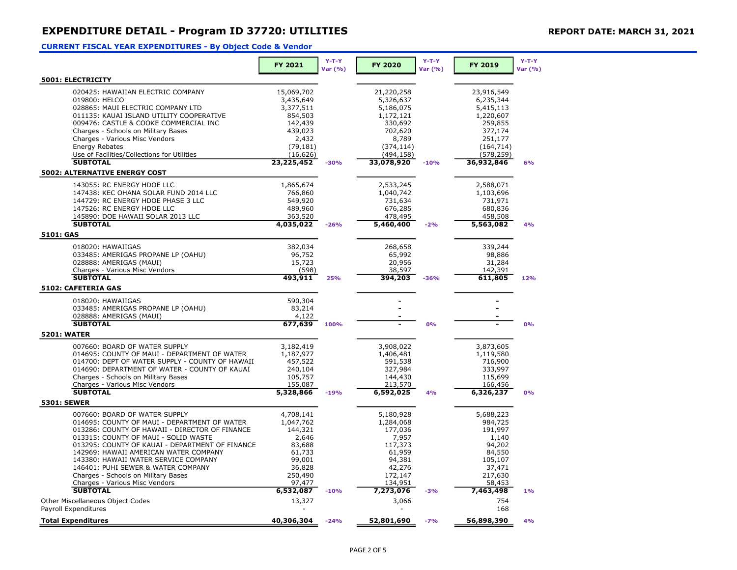## CURRENT FISCAL YEAR EXPENDITURES - By Object Code & Vendor

|                                                                                                 | FY 2021              | $Y-T-Y$<br>Var (%) | <b>FY 2020</b>       | $Y-T-Y$<br>Var (%) | FY 2019              | $Y-T-Y$<br>Var (%) |
|-------------------------------------------------------------------------------------------------|----------------------|--------------------|----------------------|--------------------|----------------------|--------------------|
| 5001: ELECTRICITY                                                                               |                      |                    |                      |                    |                      |                    |
| 020425: HAWAIIAN ELECTRIC COMPANY                                                               | 15,069,702           |                    | 21,220,258           |                    | 23,916,549           |                    |
| 019800: HELCO                                                                                   | 3,435,649            |                    | 5,326,637            |                    | 6,235,344            |                    |
| 028865: MAUI ELECTRIC COMPANY LTD                                                               | 3,377,511            |                    | 5,186,075            |                    | 5,415,113            |                    |
| 011135: KAUAI ISLAND UTILITY COOPERATIVE                                                        | 854,503              |                    | 1,172,121            |                    | 1,220,607            |                    |
| 009476: CASTLE & COOKE COMMERCIAL INC                                                           | 142,439              |                    | 330,692              |                    | 259,855              |                    |
| Charges - Schools on Military Bases                                                             | 439,023              |                    | 702,620              |                    | 377,174              |                    |
| Charges - Various Misc Vendors                                                                  | 2,432                |                    | 8,789                |                    | 251,177              |                    |
| <b>Energy Rebates</b>                                                                           | (79, 181)            |                    | (374, 114)           |                    | (164, 714)           |                    |
| Use of Facilities/Collections for Utilities                                                     | (16, 626)            |                    | (494,158)            |                    | (578, 259)           |                    |
| <b>SUBTOTAL</b>                                                                                 | 23,225,452           | $-30%$             | 33,078,920           | $-10%$             | 36,932,846           | 6%                 |
| <b>5002: ALTERNATIVE ENERGY COST</b>                                                            |                      |                    |                      |                    |                      |                    |
| 143055: RC ENERGY HDOE LLC                                                                      | 1,865,674            |                    | 2,533,245            |                    | 2,588,071            |                    |
| 147438: KEC OHANA SOLAR FUND 2014 LLC                                                           | 766,860              |                    | 1,040,742            |                    | 1,103,696            |                    |
| 144729: RC ENERGY HDOE PHASE 3 LLC                                                              | 549,920              |                    | 731,634              |                    | 731,971              |                    |
| 147526: RC ENERGY HDOE LLC                                                                      | 489,960              |                    | 676,285              |                    | 680,836              |                    |
| 145890: DOE HAWAII SOLAR 2013 LLC                                                               | 363,520              |                    | 478,495              |                    | 458,508              |                    |
| <b>SUBTOTAL</b>                                                                                 | 4,035,022            | $-26%$             | 5,460,400            | $-2%$              | 5,563,082            | 4%                 |
| 5101: GAS                                                                                       |                      |                    |                      |                    |                      |                    |
| 018020: HAWAIIGAS                                                                               | 382,034              |                    | 268,658              |                    | 339,244              |                    |
| 033485: AMERIGAS PROPANE LP (OAHU)                                                              | 96,752               |                    | 65,992               |                    | 98,886               |                    |
| 028888: AMERIGAS (MAUI)                                                                         | 15,723               |                    | 20,956               |                    | 31,284               |                    |
| Charges - Various Misc Vendors<br><b>SUBTOTAL</b>                                               | (598)                |                    | 38,597               |                    | 142,391              |                    |
| 5102: CAFETERIA GAS                                                                             | 493,911              | 25%                | 394,203              | $-36%$             | 611,805              | 12%                |
|                                                                                                 |                      |                    |                      |                    |                      |                    |
| 018020: HAWAIIGAS                                                                               | 590,304              |                    |                      |                    |                      |                    |
| 033485: AMERIGAS PROPANE LP (OAHU)                                                              | 83,214               |                    |                      |                    |                      |                    |
| 028888: AMERIGAS (MAUI)<br><b>SUBTOTAL</b>                                                      | 4,122<br>677,639     | 100%               |                      | 0%                 |                      | 0%                 |
| <b>5201: WATER</b>                                                                              |                      |                    |                      |                    |                      |                    |
|                                                                                                 |                      |                    |                      |                    |                      |                    |
| 007660: BOARD OF WATER SUPPLY                                                                   | 3,182,419            |                    | 3,908,022            |                    | 3,873,605            |                    |
| 014695: COUNTY OF MAUI - DEPARTMENT OF WATER<br>014700: DEPT OF WATER SUPPLY - COUNTY OF HAWAII | 1,187,977<br>457,522 |                    | 1,406,481<br>591,538 |                    | 1,119,580<br>716,900 |                    |
| 014690: DEPARTMENT OF WATER - COUNTY OF KAUAI                                                   | 240,104              |                    | 327,984              |                    | 333,997              |                    |
| Charges - Schools on Military Bases                                                             | 105,757              |                    | 144,430              |                    | 115,699              |                    |
| Charges - Various Misc Vendors                                                                  | 155,087              |                    | 213,570              |                    | 166,456              |                    |
| <b>SUBTOTAL</b>                                                                                 | 5,328,866            | $-19%$             | 6,592,025            | 4%                 | 6,326,237            | 0%                 |
| <b>5301: SEWER</b>                                                                              |                      |                    |                      |                    |                      |                    |
| 007660: BOARD OF WATER SUPPLY                                                                   | 4,708,141            |                    | 5,180,928            |                    | 5,688,223            |                    |
| 014695: COUNTY OF MAUI - DEPARTMENT OF WATER                                                    | 1,047,762            |                    | 1,284,068            |                    | 984,725              |                    |
| 013286: COUNTY OF HAWAII - DIRECTOR OF FINANCE                                                  | 144,321              |                    | 177,036              |                    | 191,997              |                    |
| 013315: COUNTY OF MAUI - SOLID WASTE                                                            | 2,646                |                    | 7,957                |                    | 1,140                |                    |
| 013295: COUNTY OF KAUAI - DEPARTMENT OF FINANCE                                                 | 83,688               |                    | 117,373              |                    | 94,202               |                    |
| 142969: HAWAII AMERICAN WATER COMPANY                                                           | 61,733               |                    | 61,959               |                    | 84,550               |                    |
| 143380: HAWAII WATER SERVICE COMPANY                                                            | 99,001               |                    | 94,381               |                    | 105,107              |                    |
| 146401: PUHI SEWER & WATER COMPANY                                                              | 36,828               |                    | 42,276               |                    | 37,471               |                    |
| Charges - Schools on Military Bases                                                             | 250,490              |                    | 172,147              |                    | 217,630              |                    |
| Charges - Various Misc Vendors                                                                  | 97,477               |                    | 134,951              |                    | 58,453               |                    |
| <b>SUBTOTAL</b>                                                                                 | 6,532,087            | $-10%$             | 7,273,076            | $-3%$              | 7,463,498            | 1%                 |
| Other Miscellaneous Object Codes                                                                | 13,327               |                    | 3,066                |                    | 754                  |                    |
| <b>Pavroll Expenditures</b>                                                                     |                      |                    |                      |                    | 168                  |                    |
| <b>Total Expenditures</b>                                                                       | 40,306,304           | $-24%$             | 52,801,690           | $-7%$              | 56,898,390           | 4%                 |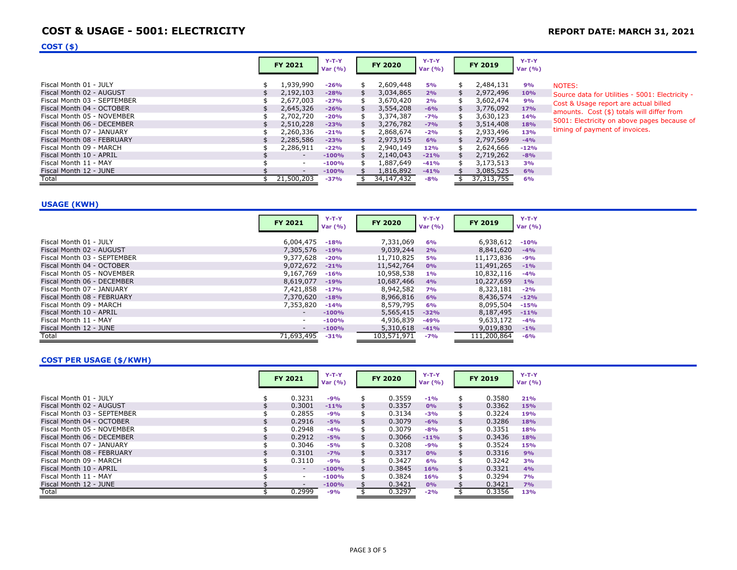## COST & USAGE - 5001: ELECTRICITY **EXECUTE: MARCH 31, 2021** REPORT DATE: MARCH 31, 2021

## $COST($ \$)

|                             | <b>FY 2021</b>           | $Y-T-Y$<br>Var $(% )$ |    | <b>FY 2020</b> | $Y-T-Y$<br>Var $(% )$ | <b>FY 2019</b>  | $Y-T-Y$<br>Var $(% )$ |                   |
|-----------------------------|--------------------------|-----------------------|----|----------------|-----------------------|-----------------|-----------------------|-------------------|
| Fiscal Month 01 - JULY      | 1,939,990                | $-26%$                |    | 2,609,448      | <b>5%</b>             | \$<br>2,484,131 | 9%                    | <b>NOTE</b>       |
| Fiscal Month 02 - AUGUST    | 2,192,103                | $-28%$                |    | 3,034,865      | 2%                    | 2,972,496       | 10%                   | Sourc             |
| Fiscal Month 03 - SEPTEMBER | 2,677,003                | $-27%$                | Я5 | 3,670,420      | 2%                    | 3,602,474       | 9%                    | Cost <sub>8</sub> |
| Fiscal Month 04 - OCTOBER   | 2,645,326                | $-26%$                | S  | 3,554,208      | $-6%$                 | \$<br>3,776,092 | <b>17%</b>            | amou              |
| Fiscal Month 05 - NOVEMBER  | 2,702,720                | $-20%$                |    | 3,374,387      | $-7%$                 | 3,630,123       | 14%                   |                   |
| Fiscal Month 06 - DECEMBER  | 2,510,228                | $-23%$                |    | 3,276,782      | $-7%$                 | 3,514,408       | 18%                   | 5001:             |
| Fiscal Month 07 - JANUARY   | 2,260,336                | $-21%$                |    | 2,868,674      | $-2%$                 | 2,933,496       | 13%                   | timino            |
| Fiscal Month 08 - FEBRUARY  | 2,285,586                | $-23%$                |    | 2,973,915      | 6%                    | 2,797,569       | $-4%$                 |                   |
| Fiscal Month 09 - MARCH     | 2,286,911                | $-22%$                |    | 2,940,149      | <b>12%</b>            | 2,624,666       | $-12%$                |                   |
| Fiscal Month 10 - APRIL     | $\overline{\phantom{a}}$ | $-100%$               |    | 2,140,043      | $-21%$                | 2,719,262       | $-8%$                 |                   |
| Fiscal Month 11 - MAY       | $\sim$                   | $-100%$               | \$ | 1,887,649      | $-41%$                | 3,173,513       | 3%                    |                   |
| Fiscal Month 12 - JUNE      |                          | $-100%$               |    | 1,816,892      | $-41%$                | 3,085,525       | 6%                    |                   |
| Total                       | 21,500,203               | $-37%$                |    | 34, 147, 432   | $-8%$                 | 37, 313, 755    | 6%                    |                   |

 $ES:$ 

ce data for Utilities - 5001: Electricity -& Usage report are actual billed  $10$ unts. Cost (\$) totals will differ from Electricity on above pages because of ig of payment of invoices.

## USAGE (KWH)

|                             | <b>FY 2021</b>           | $Y-T-Y$<br>Var $(% )$ | <b>FY 2020</b> | $Y-T-Y$<br>Var $(% )$ | <b>FY 2019</b> | $Y-T-Y$<br>Var $(% )$ |
|-----------------------------|--------------------------|-----------------------|----------------|-----------------------|----------------|-----------------------|
| Fiscal Month 01 - JULY      | 6,004,475                | $-18%$                | 7,331,069      | 6%                    | 6,938,612      | $-10%$                |
| Fiscal Month 02 - AUGUST    | 7,305,576                | $-19%$                | 9,039,244      | 2%                    | 8,841,620      | $-4%$                 |
| Fiscal Month 03 - SEPTEMBER | 9,377,628                | $-20%$                | 11,710,825     | <b>5%</b>             | 11,173,836     | $-9%$                 |
| Fiscal Month 04 - OCTOBER   | 9,072,672                | $-21%$                | 11,542,764     | 0%                    | 11,491,265     | $-1%$                 |
| Fiscal Month 05 - NOVEMBER  | 9,167,769                | $-16%$                | 10,958,538     | $1\%$                 | 10,832,116     | $-4%$                 |
| Fiscal Month 06 - DECEMBER  | 8,619,077                | $-19%$                | 10,687,466     | 4%                    | 10,227,659     | 1%                    |
| Fiscal Month 07 - JANUARY   | 7,421,858                | $-17%$                | 8,942,582      | <b>7%</b>             | 8,323,181      | $-2%$                 |
| Fiscal Month 08 - FEBRUARY  | 7,370,620                | $-18%$                | 8,966,816      | 6%                    | 8,436,574      | $-12%$                |
| Fiscal Month 09 - MARCH     | 7,353,820                | $-14%$                | 8,579,795      | 6%                    | 8,095,504      | $-15%$                |
| Fiscal Month 10 - APRIL     | $\overline{\phantom{a}}$ | $-100%$               | 5,565,415      | $-32%$                | 8,187,495      | $-11%$                |
| Fiscal Month 11 - MAY       | $\sim$                   | $-100%$               | 4,936,839      | $-49%$                | 9,633,172      | $-4%$                 |
| Fiscal Month 12 - JUNE      | $\overline{\phantom{a}}$ | $-100%$               | 5,310,618      | $-41%$                | 9,019,830      | $-1%$                 |
| Total                       | 71,693,495               | $-31%$                | 103,571,971    | $-7%$                 | 111,200,864    | $-6%$                 |

#### COST PER USAGE (\$/KWH)

|                             | <b>FY 2021</b>           | $Y-T-Y$<br>Var $(% )$ | <b>FY 2020</b> | $Y-T-Y$<br>Var $(% )$ |                | <b>FY 2019</b> | $Y-T-Y$<br>Var $(% )$ |
|-----------------------------|--------------------------|-----------------------|----------------|-----------------------|----------------|----------------|-----------------------|
| Fiscal Month 01 - JULY      | 0.3231                   | $-9%$                 | \$<br>0.3559   | $-1%$                 | \$             | 0.3580         | 21%                   |
| Fiscal Month 02 - AUGUST    | 0.3001                   | $-11%$                | 0.3357         | 0%                    |                | 0.3362         | 15%                   |
| Fiscal Month 03 - SEPTEMBER | 0.2855                   | $-9%$                 | 0.3134         | $-3%$                 | \$             | 0.3224         | 19%                   |
| Fiscal Month 04 - OCTOBER   | 0.2916                   | $-5%$                 | \$<br>0.3079   | $-6%$                 | \$             | 0.3286         | 18%                   |
| Fiscal Month 05 - NOVEMBER  | 0.2948                   | $-4%$                 | 0.3079         | $-8%$                 | \$             | 0.3351         | 18%                   |
| Fiscal Month 06 - DECEMBER  | 0.2912                   | $-5%$                 | \$<br>0.3066   | $-11%$                | $\mathfrak{s}$ | 0.3436         | <b>18%</b>            |
| Fiscal Month 07 - JANUARY   | 0.3046                   | $-5%$                 | 0.3208         | $-9%$                 | \$             | 0.3524         | <b>15%</b>            |
| Fiscal Month 08 - FEBRUARY  | 0.3101                   | $-7%$                 | \$<br>0.3317   | 0%                    | \$             | 0.3316         | 9%                    |
| Fiscal Month 09 - MARCH     | 0.3110                   | $-9%$                 | \$<br>0.3427   | 6%                    | \$             | 0.3242         | 3%                    |
| Fiscal Month 10 - APRIL     | $\overline{\phantom{a}}$ | $-100%$               | \$<br>0.3845   | <b>16%</b>            | \$             | 0.3321         | 4%                    |
| Fiscal Month 11 - MAY       | $\overline{\phantom{a}}$ | $-100%$               | \$<br>0.3824   | 16%                   | \$             | 0.3294         | 7%                    |
| Fiscal Month 12 - JUNE      | -                        | $-100%$               | 0.3421         | 0%                    |                | 0.3421         | 7%                    |
| Total                       | 0.2999                   | $-9%$                 | 0.3297         | $-2%$                 |                | 0.3356         | 13%                   |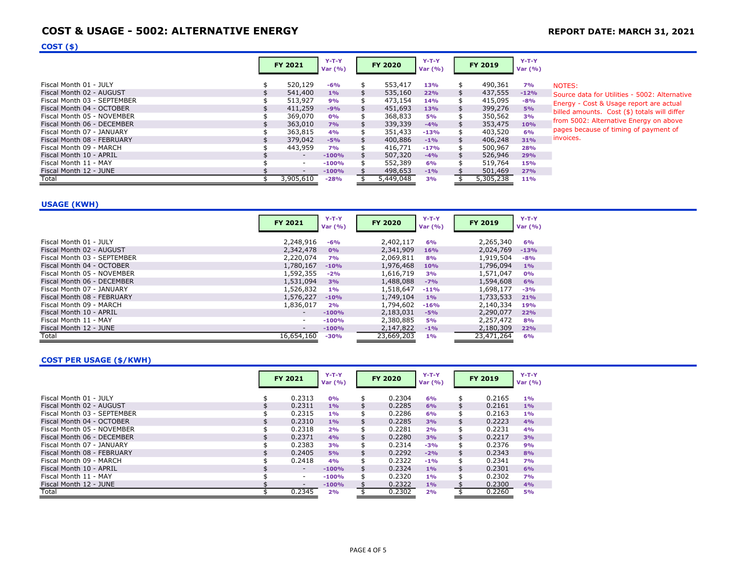# COST & USAGE - 5002: ALTERNATIVE ENERGY **REPORT DATE: MARCH 31, 2021**

## $COST($ \$)

|                             | <b>FY 2021</b>           | $Y-T-Y$<br>Var $(% )$ |     | <b>FY 2020</b> | $Y-T-Y$<br>Var $(% )$ |    | <b>FY 2019</b> | $Y-T-Y$<br>Var $(% )$ |             |
|-----------------------------|--------------------------|-----------------------|-----|----------------|-----------------------|----|----------------|-----------------------|-------------|
| Fiscal Month 01 - JULY      | 520,129                  | $-6%$                 | \$  | 553,417        | 13%                   | \$ | 490,361        | <b>7%</b>             | <b>NOTI</b> |
| Fiscal Month 02 - AUGUST    | 541,400                  | $1\%$                 | \$. | 535,160        | 22%                   | \$ | 437,555        | $-12%$                | Sour        |
| Fiscal Month 03 - SEPTEMBER | 513,927                  | 9%                    | \$  | 473,154        | 14%                   |    | 415,095        | $-8%$                 | Ener        |
| Fiscal Month 04 - OCTOBER   | 411,259                  | $-9%$                 | \$  | 451,693        | <b>13%</b>            |    | 399,276        | 5%                    | billed      |
| Fiscal Month 05 - NOVEMBER  | 369,070                  | 0%                    | \$  | 368,833        | <b>5%</b>             |    | 350,562        | 3%                    |             |
| Fiscal Month 06 - DECEMBER  | 363,010                  | 7%                    | \$  | 339,339        | $-4%$                 | S  | 353,475        | 10%                   | from        |
| Fiscal Month 07 - JANUARY   | 363,815                  | 4%                    | \$  | 351,433        | $-13%$                | \$ | 403,520        | 6%                    | page        |
| Fiscal Month 08 - FEBRUARY  | 379,042                  | $-5%$                 | \$  | 400,886        | $-1\%$                |    | 406,248        | 31%                   | invoi       |
| Fiscal Month 09 - MARCH     | 443,959                  | 7%                    | \$  | 416,771        | $-17%$                | \$ | 500,967        | 28%                   |             |
| Fiscal Month 10 - APRIL     | $\overline{\phantom{a}}$ | $-100%$               | \$  | 507,320        | $-4%$                 |    | 526,946        | 29%                   |             |
| Fiscal Month 11 - MAY       | ٠                        | $-100%$               |     | 552,389        | 6%                    |    | 519,764        | 15%                   |             |
| Fiscal Month 12 - JUNE      | $\overline{\phantom{a}}$ | $-100%$               |     | 498,653        | $-1%$                 |    | 501,469        | 27%                   |             |
| Total                       | 3,905,610                | $-28%$                |     | 5,449,048      | 3%                    |    | 5,305,238      | <b>11%</b>            |             |

 $ES:$ 

rce data for Utilities - 5002: Alternative rgy - Cost & Usage report are actual d amounts. Cost (\$) totals will differ 5002: Alternative Energy on above es because of timing of payment of ices.

#### USAGE (KWH)

|                             | <b>FY 2021</b>           | $Y-T-Y$<br>Var $(% )$ | <b>FY 2020</b> | $Y-T-Y$<br>Var $(% )$ | <b>FY 2019</b> | $Y-T-Y$<br>Var $(% )$ |
|-----------------------------|--------------------------|-----------------------|----------------|-----------------------|----------------|-----------------------|
| Fiscal Month 01 - JULY      | 2,248,916                | $-6%$                 | 2,402,117      | 6%                    | 2,265,340      | 6%                    |
| Fiscal Month 02 - AUGUST    | 2,342,478                | 0%                    | 2,341,909      | <b>16%</b>            | 2,024,769      | $-13%$                |
| Fiscal Month 03 - SEPTEMBER | 2,220,074                | <b>7%</b>             | 2,069,811      | 8%                    | 1,919,504      | $-8%$                 |
| Fiscal Month 04 - OCTOBER   | 1,780,167                | $-10%$                | 1,976,468      | 10%                   | 1,796,094      | 1%                    |
| Fiscal Month 05 - NOVEMBER  | 1,592,355                | $-2%$                 | 1,616,719      | 3%                    | 1,571,047      | 0%                    |
| Fiscal Month 06 - DECEMBER  | 1,531,094                | 3%                    | 1,488,088      | $-7%$                 | 1,594,608      | 6%                    |
| Fiscal Month 07 - JANUARY   | 1,526,832                | $1\%$                 | 1,518,647      | $-11%$                | 1,698,177      | $-3%$                 |
| Fiscal Month 08 - FEBRUARY  | 1,576,227                | $-10%$                | 1,749,104      | $1\%$                 | 1,733,533      | 21%                   |
| Fiscal Month 09 - MARCH     | 1,836,017                | 2%                    | 1,794,602      | $-16%$                | 2,140,334      | 19%                   |
| Fiscal Month 10 - APRIL     | $\overline{\phantom{0}}$ | $-100%$               | 2,183,031      | $-5%$                 | 2,290,077      | 22%                   |
| Fiscal Month 11 - MAY       | $\overline{\phantom{0}}$ | $-100%$               | 2,380,885      | <b>5%</b>             | 2,257,472      | 8%                    |
| Fiscal Month 12 - JUNE      | ۰.                       | $-100%$               | 2,147,822      | $-1%$                 | 2,180,309      | 22%                   |
| Total                       | 16,654,160               | $-30%$                | 23,669,203     | 1%                    | 23,471,264     | 6%                    |

## COST PER USAGE (\$/KWH)

|                             | <b>FY 2021</b>           | $Y-T-Y$<br>Var $(% )$ | <b>FY 2020</b> | $Y-T-Y$<br>Var $(% )$ | <b>FY 2019</b> | $Y-T-Y$<br>Var $(% )$ |
|-----------------------------|--------------------------|-----------------------|----------------|-----------------------|----------------|-----------------------|
| Fiscal Month 01 - JULY      | 0.2313                   | 0%                    | \$<br>0.2304   | 6%                    | \$<br>0.2165   | $1\%$                 |
| Fiscal Month 02 - AUGUST    | 0.2311                   | 1%                    | 0.2285         | 6%                    | 0.2161         | 1%                    |
| Fiscal Month 03 - SEPTEMBER | 0.2315                   | 1%                    | 0.2286         | 6%                    | 0.2163         | 1%                    |
| Fiscal Month 04 - OCTOBER   | 0.2310                   | $1\%$                 | \$<br>0.2285   | 3%                    | \$<br>0.2223   | 4%                    |
| Fiscal Month 05 - NOVEMBER  | 0.2318                   | 2%                    | \$<br>0.2281   | 2%                    | \$<br>0.2231   | 4%                    |
| Fiscal Month 06 - DECEMBER  | 0.2371                   | 4%                    | \$<br>0.2280   | 3%                    | \$<br>0.2217   | 3%                    |
| Fiscal Month 07 - JANUARY   | 0.2383                   | 3%                    | 0.2314         | $-3%$                 | 0.2376         | 9%                    |
| Fiscal Month 08 - FEBRUARY  | 0.2405                   | 5%                    | \$<br>0.2292   | $-2%$                 | \$<br>0.2343   | 8%                    |
| Fiscal Month 09 - MARCH     | 0.2418                   | 4%                    | \$<br>0.2322   | $-1\%$                | \$<br>0.2341   | 7%                    |
| Fiscal Month 10 - APRIL     | $\sim$                   | $-100%$               | 0.2324         | $1\%$                 | \$<br>0.2301   | 6%                    |
| Fiscal Month 11 - MAY       | $\sim$                   | $-100%$               | 0.2320         | 1%                    | 0.2302         | 7%                    |
| Fiscal Month 12 - JUNE      | $\overline{\phantom{a}}$ | $-100%$               | 0.2322         | $1\%$                 | 0.2300         | 4%                    |
| Total                       | 0.2345                   | 2%                    | 0.2302         | 2%                    | 0.2260         | 5%                    |